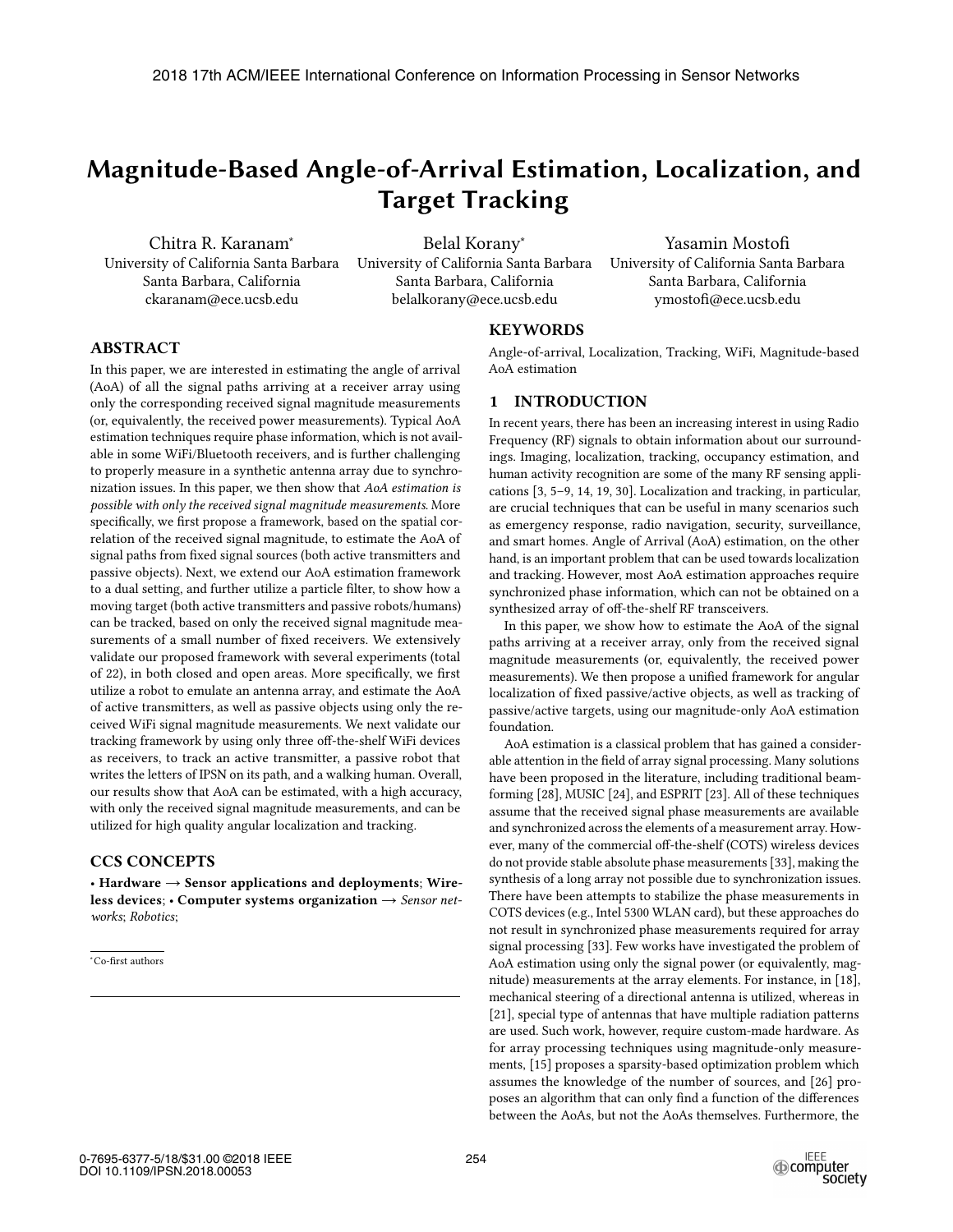# **Magnitude-Based Angle-of-Arrival Estimation, Localization, and Target Tracking**

Chitra R. Karanam<sup>∗</sup> University of California Santa Barbara Santa Barbara, California ckaranam@ece.ucsb.edu

Belal Korany<sup>∗</sup> University of California Santa Barbara Santa Barbara, California belalkorany@ece.ucsb.edu

Yasamin Mostofi University of California Santa Barbara Santa Barbara, California ymostofi@ece.ucsb.edu

# **ABSTRACT**

In this paper, we are interested in estimating the angle of arrival (AoA) of all the signal paths arriving at a receiver array using only the corresponding received signal magnitude measurements (or, equivalently, the received power measurements). Typical AoA estimation techniques require phase information, which is not available in some WiFi/Bluetooth receivers, and is further challenging to properly measure in a synthetic antenna array due to synchronization issues. In this paper, we then show that *AoA estimation is possible with only the received signal magnitude measurements*. More specifically, we first propose a framework, based on the spatial correlation of the received signal magnitude, to estimate the AoA of signal paths from fixed signal sources (both active transmitters and passive objects). Next, we extend our AoA estimation framework to a dual setting, and further utilize a particle filter, to show how a moving target (both active transmitters and passive robots/humans) can be tracked, based on only the received signal magnitude measurements of a small number of fixed receivers. We extensively validate our proposed framework with several experiments (total of 22), in both closed and open areas. More specifically, we first utilize a robot to emulate an antenna array, and estimate the AoA of active transmitters, as well as passive objects using only the received WiFi signal magnitude measurements. We next validate our tracking framework by using only three off-the-shelf WiFi devices as receivers, to track an active transmitter, a passive robot that writes the letters of IPSN on its path, and a walking human. Overall, our results show that AoA can be estimated, with a high accuracy, with only the received signal magnitude measurements, and can be utilized for high quality angular localization and tracking.

# **CCS CONCEPTS**

• **Hardware** → **Sensor applications and deployments**; **Wireless devices**; • **Computer systems organization** → *Sensor networks*; *Robotics*;

∗ Co-first authors

## **KEYWORDS**

Angle-of-arrival, Localization, Tracking, WiFi, Magnitude-based AoA estimation

# **1 INTRODUCTION**

In recent years, there has been an increasing interest in using Radio Frequency (RF) signals to obtain information about our surroundings. Imaging, localization, tracking, occupancy estimation, and human activity recognition are some of the many RF sensing applications [3, 5–9, 14, 19, 30]. Localization and tracking, in particular, are crucial techniques that can be useful in many scenarios such as emergency response, radio navigation, security, surveillance, and smart homes. Angle of Arrival (AoA) estimation, on the other hand, is an important problem that can be used towards localization and tracking. However, most AoA estimation approaches require synchronized phase information, which can not be obtained on a synthesized array of off-the-shelf RF transceivers.

In this paper, we show how to estimate the AoA of the signal paths arriving at a receiver array, only from the received signal magnitude measurements (or, equivalently, the received power measurements). We then propose a unified framework for angular localization of fixed passive/active objects, as well as tracking of passive/active targets, using our magnitude-only AoA estimation foundation.

AoA estimation is a classical problem that has gained a considerable attention in the field of array signal processing. Many solutions have been proposed in the literature, including traditional beamforming [28], MUSIC [24], and ESPRIT [23]. All of these techniques assume that the received signal phase measurements are available and synchronized across the elements of a measurement array. However, many of the commercial off-the-shelf (COTS) wireless devices do not provide stable absolute phase measurements [33], making the synthesis of a long array not possible due to synchronization issues. There have been attempts to stabilize the phase measurements in COTS devices (e.g., Intel 5300 WLAN card), but these approaches do not result in synchronized phase measurements required for array signal processing [33]. Few works have investigated the problem of AoA estimation using only the signal power (or equivalently, magnitude) measurements at the array elements. For instance, in [18], mechanical steering of a directional antenna is utilized, whereas in [21], special type of antennas that have multiple radiation patterns are used. Such work, however, require custom-made hardware. As for array processing techniques using magnitude-only measurements, [15] proposes a sparsity-based optimization problem which assumes the knowledge of the number of sources, and [26] proposes an algorithm that can only find a function of the differences between the AoAs, but not the AoAs themselves. Furthermore, the

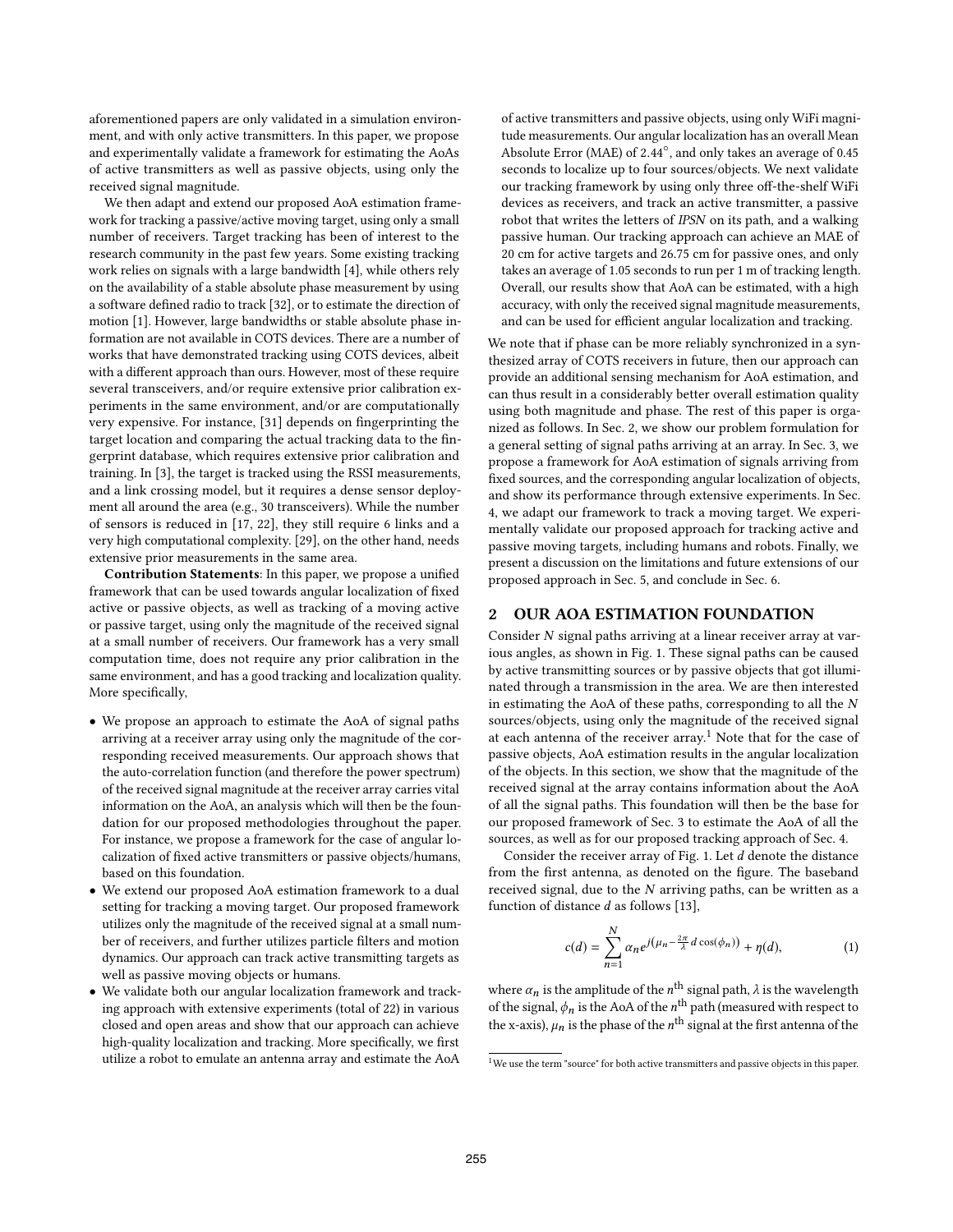aforementioned papers are only validated in a simulation environment, and with only active transmitters. In this paper, we propose and experimentally validate a framework for estimating the AoAs of active transmitters as well as passive objects, using only the received signal magnitude.

We then adapt and extend our proposed AoA estimation framework for tracking a passive/active moving target, using only a small number of receivers. Target tracking has been of interest to the research community in the past few years. Some existing tracking work relies on signals with a large bandwidth [4], while others rely on the availability of a stable absolute phase measurement by using a software defined radio to track [32], or to estimate the direction of motion [1]. However, large bandwidths or stable absolute phase information are not available in COTS devices. There are a number of works that have demonstrated tracking using COTS devices, albeit with a different approach than ours. However, most of these require several transceivers, and/or require extensive prior calibration experiments in the same environment, and/or are computationally very expensive. For instance, [31] depends on fingerprinting the target location and comparing the actual tracking data to the fingerprint database, which requires extensive prior calibration and training. In [3], the target is tracked using the RSSI measurements, and a link crossing model, but it requires a dense sensor deployment all around the area (e.g., 30 transceivers). While the number of sensors is reduced in [17, 22], they still require 6 links and a very high computational complexity. [29], on the other hand, needs extensive prior measurements in the same area.

**Contribution Statements**: In this paper, we propose a unified framework that can be used towards angular localization of fixed active or passive objects, as well as tracking of a moving active or passive target, using only the magnitude of the received signal at a small number of receivers. Our framework has a very small computation time, does not require any prior calibration in the same environment, and has a good tracking and localization quality. More specifically,

- We propose an approach to estimate the AoA of signal paths arriving at a receiver array using only the magnitude of the corresponding received measurements. Our approach shows that the auto-correlation function (and therefore the power spectrum) of the received signal magnitude at the receiver array carries vital information on the AoA, an analysis which will then be the foundation for our proposed methodologies throughout the paper. For instance, we propose a framework for the case of angular localization of fixed active transmitters or passive objects/humans, based on this foundation.
- We extend our proposed AoA estimation framework to a dual setting for tracking a moving target. Our proposed framework utilizes only the magnitude of the received signal at a small number of receivers, and further utilizes particle filters and motion dynamics. Our approach can track active transmitting targets as well as passive moving objects or humans.
- We validate both our angular localization framework and tracking approach with extensive experiments (total of 22) in various closed and open areas and show that our approach can achieve high-quality localization and tracking. More specifically, we first utilize a robot to emulate an antenna array and estimate the AoA

of active transmitters and passive objects, using only WiFi magnitude measurements. Our angular localization has an overall Mean Absolute Error (MAE) of 2.44◦, and only takes an average of 0.45 seconds to localize up to four sources/objects. We next validate our tracking framework by using only three off-the-shelf WiFi devices as receivers, and track an active transmitter, a passive robot that writes the letters of *IPSN* on its path, and a walking passive human. Our tracking approach can achieve an MAE of 20 cm for active targets and 26.75 cm for passive ones, and only takes an average of 1.05 seconds to run per 1 m of tracking length. Overall, our results show that AoA can be estimated, with a high accuracy, with only the received signal magnitude measurements, and can be used for efficient angular localization and tracking.

We note that if phase can be more reliably synchronized in a synthesized array of COTS receivers in future, then our approach can provide an additional sensing mechanism for AoA estimation, and can thus result in a considerably better overall estimation quality using both magnitude and phase. The rest of this paper is organized as follows. In Sec. 2, we show our problem formulation for a general setting of signal paths arriving at an array. In Sec. 3, we propose a framework for AoA estimation of signals arriving from fixed sources, and the corresponding angular localization of objects, and show its performance through extensive experiments. In Sec. 4, we adapt our framework to track a moving target. We experimentally validate our proposed approach for tracking active and passive moving targets, including humans and robots. Finally, we present a discussion on the limitations and future extensions of our proposed approach in Sec. 5, and conclude in Sec. 6.

## **2 OUR AOA ESTIMATION FOUNDATION**

Consider N signal paths arriving at a linear receiver array at various angles, as shown in Fig. 1. These signal paths can be caused by active transmitting sources or by passive objects that got illuminated through a transmission in the area. We are then interested in estimating the AoA of these paths, corresponding to all the  $N$ sources/objects, using only the magnitude of the received signal at each antenna of the receiver array.<sup>1</sup> Note that for the case of passive objects, AoA estimation results in the angular localization of the objects. In this section, we show that the magnitude of the received signal at the array contains information about the AoA of all the signal paths. This foundation will then be the base for our proposed framework of Sec. 3 to estimate the AoA of all the sources, as well as for our proposed tracking approach of Sec. 4.

Consider the receiver array of Fig. 1. Let  $d$  denote the distance from the first antenna, as denoted on the figure. The baseband received signal, due to the N arriving paths, can be written as a function of distance  $d$  as follows [13],

$$
c(d) = \sum_{n=1}^{N} \alpha_n e^{j(\mu_n - \frac{2\pi}{\lambda} d \cos(\phi_n))} + \eta(d),
$$
 (1)

where  $\alpha_n$  is the amplitude of the n<sup>th</sup> signal path,  $\lambda$  is the wavelength of the signal,  $\phi_n$  is the AoA of the  $n^{\text{th}}$  path (measured with respect to the x-axis),  $\mu_n$  is the phase of the n<sup>th</sup> signal at the first antenna of the

 $1$ We use the term "source" for both active transmitters and passive objects in this paper.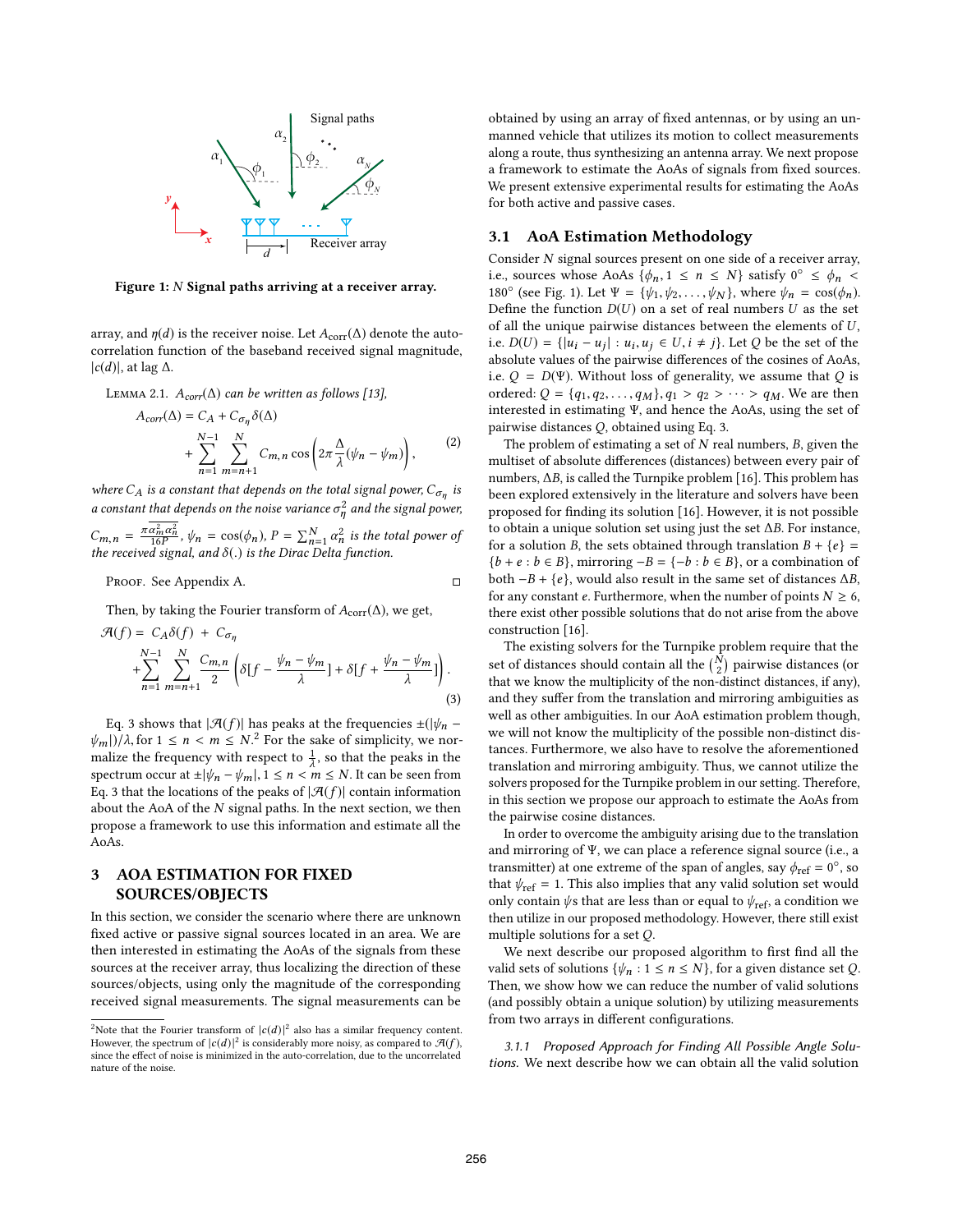

**Figure 1:** N **Signal paths arriving at a receiver array.**

array, and  $\eta(d)$  is the receiver noise. Let  $A_{\text{corr}}(\Delta)$  denote the autocorrelation function of the baseband received signal magnitude,  $|c(d)|$ , at lag  $\Delta$ .

LEMMA 2.1. 
$$
A_{corr}(\Delta)
$$
 can be written as follows [13],  
 $A_{corr}(\Delta) = C_A + C_C \delta(\Delta)$ 

$$
+\sum_{n=1}^{N-1}\sum_{m=n+1}^{N}C_{m,n}\cos\left(2\pi\frac{\Delta}{\lambda}(\psi_n-\psi_m)\right),\qquad(2)
$$

*where*  $C_A$  *is a constant that depends on the total signal power,*  $C_{\sigma_n}$  *is a* constant that depends on the noise variance  $\sigma_n^2$  and the signal power,  $C_{m,n} = \frac{\pi \overline{\alpha_m^2 \alpha_n^2}}{16P}, \psi_n = \cos(\phi_n), P = \sum_{n=1}^{N} \alpha_n^2$  is the total power of *the received signal, and* δ(.) *is the Dirac Delta function.*

Proof. See Appendix A.

Then, by taking the Fourier transform of  $A_{\text{corr}}(\Delta)$ , we get,

$$
\mathcal{A}(f) = C_A \delta(f) + C_{\sigma_\eta}
$$
  
+
$$
\sum_{n=1}^{N-1} \sum_{m=n+1}^{N} \frac{C_{m,n}}{2} \left( \delta[f - \frac{\psi_n - \psi_m}{\lambda}] + \delta[f + \frac{\psi_n - \psi_m}{\lambda}] \right).
$$
  
(3)

Eq. 3 shows that  $|\mathcal{A}(f)|$  has peaks at the frequencies  $\pm(|\psi_n - \psi|)$  $\psi_m$ | $)/\lambda$ , for  $1 \le n < m \le N$ .<sup>2</sup> For the sake of simplicity, we normalize the frequency with respect to  $\frac{1}{\lambda}$ , so that the peaks in the spectrum occur at  $\pm |\psi_n - \psi_m|, 1 \leq n < m \leq N$ . It can be seen from Eq. 3 that the locations of the peaks of  $|\mathcal{A}(f)|$  contain information about the AoA of the N signal paths. In the next section, we then propose a framework to use this information and estimate all the AoAs.

# **3 AOA ESTIMATION FOR FIXED SOURCES/OBJECTS**

In this section, we consider the scenario where there are unknown fixed active or passive signal sources located in an area. We are then interested in estimating the AoAs of the signals from these sources at the receiver array, thus localizing the direction of these sources/objects, using only the magnitude of the corresponding received signal measurements. The signal measurements can be obtained by using an array of fixed antennas, or by using an unmanned vehicle that utilizes its motion to collect measurements along a route, thus synthesizing an antenna array. We next propose a framework to estimate the AoAs of signals from fixed sources. We present extensive experimental results for estimating the AoAs for both active and passive cases.

## **3.1 AoA Estimation Methodology**

Consider N signal sources present on one side of a receiver array, i.e., sources whose AoAs  $\{\phi_n, 1 \le n \le N\}$  satisfy  $0^\circ \le \phi_n <$ 180 $\textdegree$  (see Fig. 1). Let  $\Psi = {\psi_1, \psi_2, \dots, \psi_N}$ , where  $\psi_n = \cos(\phi_n)$ . Define the function  $D(U)$  on a set of real numbers U as the set of all the unique pairwise distances between the elements of  $U$ , i.e.  $D(U) = \{ |u_i - u_j| : u_i, u_j \in U, i \neq j \}$ . Let Q be the set of the absolute values of the pairwise differences of the cosines of AoAs, i.e.  $Q = D(\Psi)$ . Without loss of generality, we assume that Q is ordered:  $Q = \{q_1, q_2, ..., q_M\}, q_1 > q_2 > ... > q_M$ . We are then interested in estimating Ψ, and hence the AoAs, using the set of pairwise distances Q, obtained using Eq. 3.

The problem of estimating a set of  $N$  real numbers,  $B$ , given the multiset of absolute differences (distances) between every pair of numbers, ΔB, is called the Turnpike problem [16]. This problem has been explored extensively in the literature and solvers have been proposed for finding its solution [16]. However, it is not possible to obtain a unique solution set using just the set  $\Delta B$ . For instance, for a solution B, the sets obtained through translation  $B + \{e\} =$  ${b + e : b \in B}$ , mirroring  $-B = \{-b : b \in B\}$ , or a combination of both  $-B + \{e\}$ , would also result in the same set of distances  $\Delta B$ , for any constant e. Furthermore, when the number of points  $N \geq 6$ , there exist other possible solutions that do not arise from the above construction [16].

The existing solvers for the Turnpike problem require that the set of distances should contain all the  $\binom{N}{2}$  pairwise distances (or that we know the multiplicity of the non-distinct distances, if any), and they suffer from the translation and mirroring ambiguities as well as other ambiguities. In our AoA estimation problem though, we will not know the multiplicity of the possible non-distinct distances. Furthermore, we also have to resolve the aforementioned translation and mirroring ambiguity. Thus, we cannot utilize the solvers proposed for the Turnpike problem in our setting. Therefore, in this section we propose our approach to estimate the AoAs from the pairwise cosine distances.

In order to overcome the ambiguity arising due to the translation and mirroring of Ψ, we can place a reference signal source (i.e., a transmitter) at one extreme of the span of angles, say  $\phi_{\text{ref}} = 0^{\circ}$ , so that  $\psi_{\text{ref}} = 1$ . This also implies that any valid solution set would only contain  $\psi$ s that are less than or equal to  $\psi_{\text{ref}}$ , a condition we then utilize in our proposed methodology. However, there still exist multiple solutions for a set Q.

We next describe our proposed algorithm to first find all the valid sets of solutions  $\{\psi_n : 1 \le n \le N\}$ , for a given distance set Q. Then, we show how we can reduce the number of valid solutions (and possibly obtain a unique solution) by utilizing measurements from two arrays in different configurations.

*3.1.1 Proposed Approach for Finding All Possible Angle Solutions.* We next describe how we can obtain all the valid solution

<sup>&</sup>lt;sup>2</sup>Note that the Fourier transform of  $|c(d)|^2$  also has a similar frequency content. However, the spectrum of  $|c(d)|^2$  is considerably more noisy, as compared to  $\mathcal{A}(f)$ , since the effect of noise is minimized in the auto-correlation, due to the uncorrelated nature of the noise.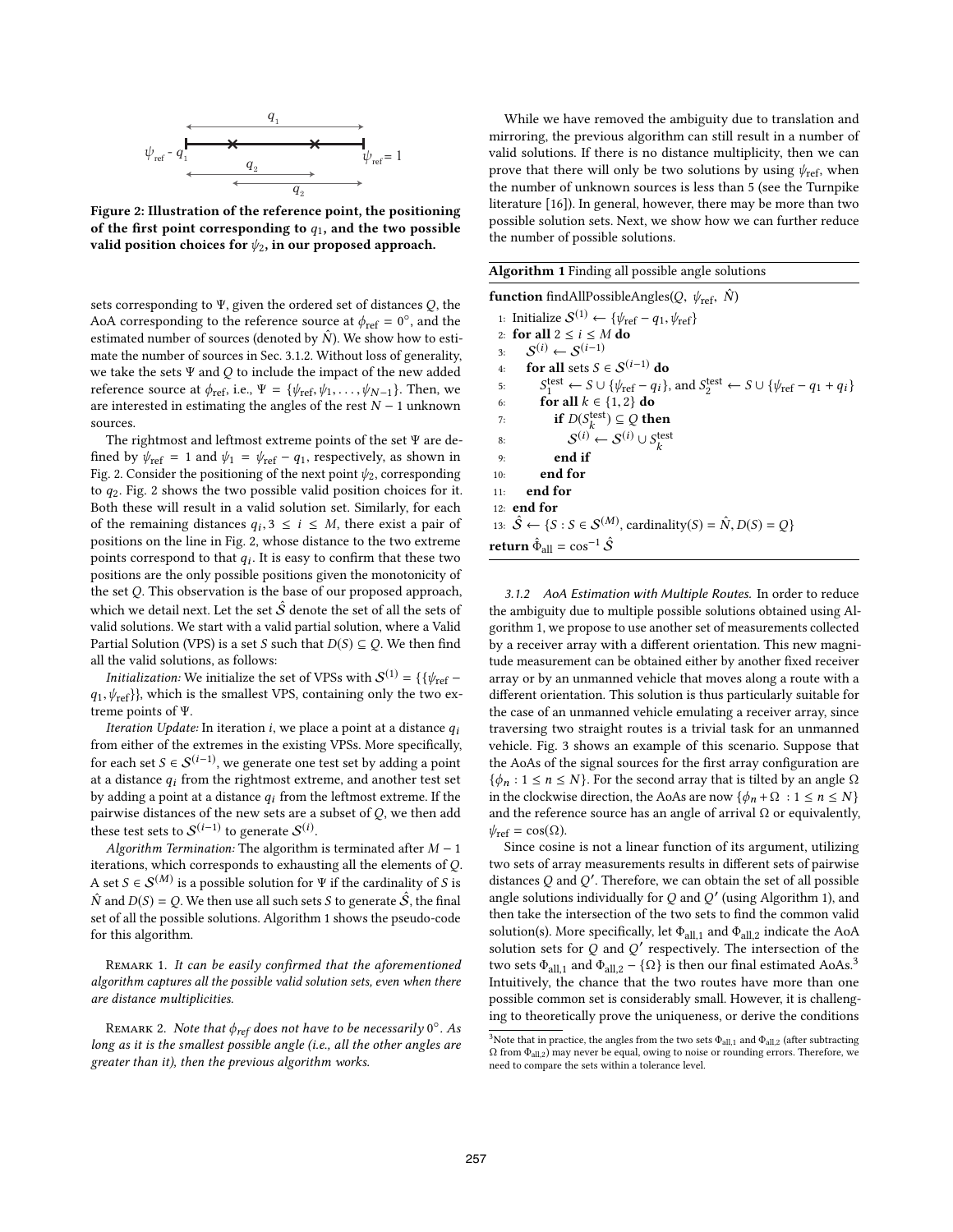

**Figure 2: Illustration of the reference point, the positioning of the first point corresponding to** q1**, and the two possible** valid position choices for  $\psi_2$ , in our proposed approach.

sets corresponding to Ψ, given the ordered set of distances Q, the AoA corresponding to the reference source at  $\phi_{\text{ref}} = 0^{\circ}$ , and the estimated number of sources (denoted by  $\tilde{N}$ ). We show how to estimate the number of sources in Sec. 3.1.2. Without loss of generality, we take the sets  $\Psi$  and  $Q$  to include the impact of the new added reference source at  $\phi_{\text{ref}}$ , i.e.,  $\Psi = {\psi_{\text{ref}}}, \psi_1, \dots, \psi_{N-1}$ . Then, we are interested in estimating the angles of the rest  $N - 1$  unknown sources.

The rightmost and leftmost extreme points of the set Ψ are defined by  $\psi_{\text{ref}} = 1$  and  $\psi_1 = \psi_{\text{ref}} - q_1$ , respectively, as shown in Fig. 2. Consider the positioning of the next point  $\psi_2$ , corresponding to q2. Fig. 2 shows the two possible valid position choices for it. Both these will result in a valid solution set. Similarly, for each of the remaining distances  $q_i$ ,  $3 \le i \le M$ , there exist a pair of positions on the line in Fig. 2, whose distance to the two extreme points correspond to that  $q_i$ . It is easy to confirm that these two positions are the only possible positions given the monotonicity of the set Q. This observation is the base of our proposed approach, which we detail next. Let the set  $\hat{S}$  denote the set of all the sets of valid solutions. We start with a valid partial solution, where a Valid Partial Solution (VPS) is a set S such that  $D(S) \subseteq Q$ . We then find all the valid solutions, as follows:

*Initialization:* We initialize the set of VPSs with  $S^{(1)} = \{ \psi_{ref} - \psi_{ref}\}$  $q_1, \psi_{\text{ref}}\}$ , which is the smallest VPS, containing only the two extreme points of Ψ.

*Iteration Update:* In iteration  $i$ , we place a point at a distance  $q_i$ from either of the extremes in the existing VPSs. More specifically, for each set  $S \in S^{(i-1)}$ , we generate one test set by adding a point at a distance  $q_i$  from the rightmost extreme, and another test set by adding a point at a distance  $q_i$  from the leftmost extreme. If the pairwise distances of the new sets are a subset of  $Q$ , we then add these test sets to  $\mathcal{S}^{(i-1)}$  to generate  $\mathcal{S}^{(i)}$ .

*Algorithm Termination:* The algorithm is terminated after M − 1 iterations, which corresponds to exhausting all the elements of Q. A set  $S \in \mathcal{S}^{(M)}$  is a possible solution for  $\Psi$  if the cardinality of  $S$  is  $\hat{N}$  and  $D(S) = Q$ . We then use all such sets S to generate  $\hat{S}$ , the final set of all the possible solutions. Algorithm 1 shows the pseudo-code for this algorithm.

Remark 1. *It can be easily confirmed that the aforementioned algorithm captures all the possible valid solution sets, even when there are distance multiplicities.*

REMARK 2. *Note that*  $\phi_{ref}$  *does not have to be necessarily* 0°*. As long as it is the smallest possible angle (i.e., all the other angles are greater than it), then the previous algorithm works.*

While we have removed the ambiguity due to translation and mirroring, the previous algorithm can still result in a number of valid solutions. If there is no distance multiplicity, then we can prove that there will only be two solutions by using  $\psi_{\text{ref}}$ , when the number of unknown sources is less than 5 (see the Turnpike literature [16]). In general, however, there may be more than two possible solution sets. Next, we show how we can further reduce the number of possible solutions.

| Algorithm 1 Finding all possible angle solutions                                                                                                      |
|-------------------------------------------------------------------------------------------------------------------------------------------------------|
| <b>function</b> findAllPossibleAngles(Q, $\psi_{\text{ref}}$ , N)                                                                                     |
| 1: Initialize $S^{(1)} \leftarrow {\psi_{ref} - q_1, \psi_{ref}}$                                                                                     |
| 2: for all $2 \le i \le M$ do                                                                                                                         |
| $S^{(i)} \leftarrow S^{(i-1)}$<br>3:                                                                                                                  |
| for all sets $S \in S^{(i-1)}$ do<br>4:                                                                                                               |
| $S_1^{\text{test}} \leftarrow S \cup \{\psi_{\text{ref}} - q_i\}$ , and $S_2^{\text{test}} \leftarrow S \cup \{\psi_{\text{ref}} - q_1 + q_i\}$<br>5: |
| for all $k \in \{1, 2\}$ do<br>6:                                                                                                                     |
| if $D(S_k^{\text{test}}) \subseteq Q$ then<br>7:                                                                                                      |
| $S^{(i)} \leftarrow S^{(i)} \cup S_{\iota}^{\text{test}}$<br>8:                                                                                       |
| end if<br>9:                                                                                                                                          |
| end for<br>10:                                                                                                                                        |
| end for<br>11:                                                                                                                                        |
| $12:$ end for                                                                                                                                         |
| 13: $\hat{S} \leftarrow \{S : S \in \mathcal{S}^{(M)}\}$ , cardinality(S) = $\hat{N}, D(S) = Q\}$                                                     |
| return $\hat{\Phi}_{\text{all}} = \cos^{-1} \hat{S}$                                                                                                  |

*3.1.2 AoA Estimation with Multiple Routes.* In order to reduce the ambiguity due to multiple possible solutions obtained using Algorithm 1, we propose to use another set of measurements collected by a receiver array with a different orientation. This new magnitude measurement can be obtained either by another fixed receiver array or by an unmanned vehicle that moves along a route with a different orientation. This solution is thus particularly suitable for the case of an unmanned vehicle emulating a receiver array, since traversing two straight routes is a trivial task for an unmanned vehicle. Fig. 3 shows an example of this scenario. Suppose that the AoAs of the signal sources for the first array configuration are  $\{\phi_n : 1 \le n \le N\}$ . For the second array that is tilted by an angle  $\Omega$ in the clockwise direction, the AoAs are now  $\{\phi_n + \Omega : 1 \le n \le N\}$ and the reference source has an angle of arrival  $\Omega$  or equivalently,  $\psi_{\text{ref}} = \cos(\Omega).$ 

Since cosine is not a linear function of its argument, utilizing two sets of array measurements results in different sets of pairwise distances Q and Q'. Therefore, we can obtain the set of all possible angle solutions individually for  $Q$  and  $Q'$  (using Algorithm 1), and then take the intersection of the two sets to find the common valid solution(s). More specifically, let  $\Phi_{all,1}$  and  $\Phi_{all,2}$  indicate the AoA solution sets for  $Q$  and  $Q'$  respectively. The intersection of the two sets  $\Phi_{\text{all},1}$  and  $\Phi_{\text{all},2} - {\Omega}$  is then our final estimated AoAs.<sup>3</sup> Intuitively, the chance that the two routes have more than one possible common set is considerably small. However, it is challenging to theoretically prove the uniqueness, or derive the conditions

 $^3\rm{Note}$  that in practice, the angles from the two sets  $\Phi_{\rm all,1}$  and  $\Phi_{\rm all,2}$  (after subtracting  $\Omega$  from  $\Phi_{\mathrm{all},2})$  may never be equal, owing to noise or rounding errors. Therefore, we need to compare the sets within a tolerance level.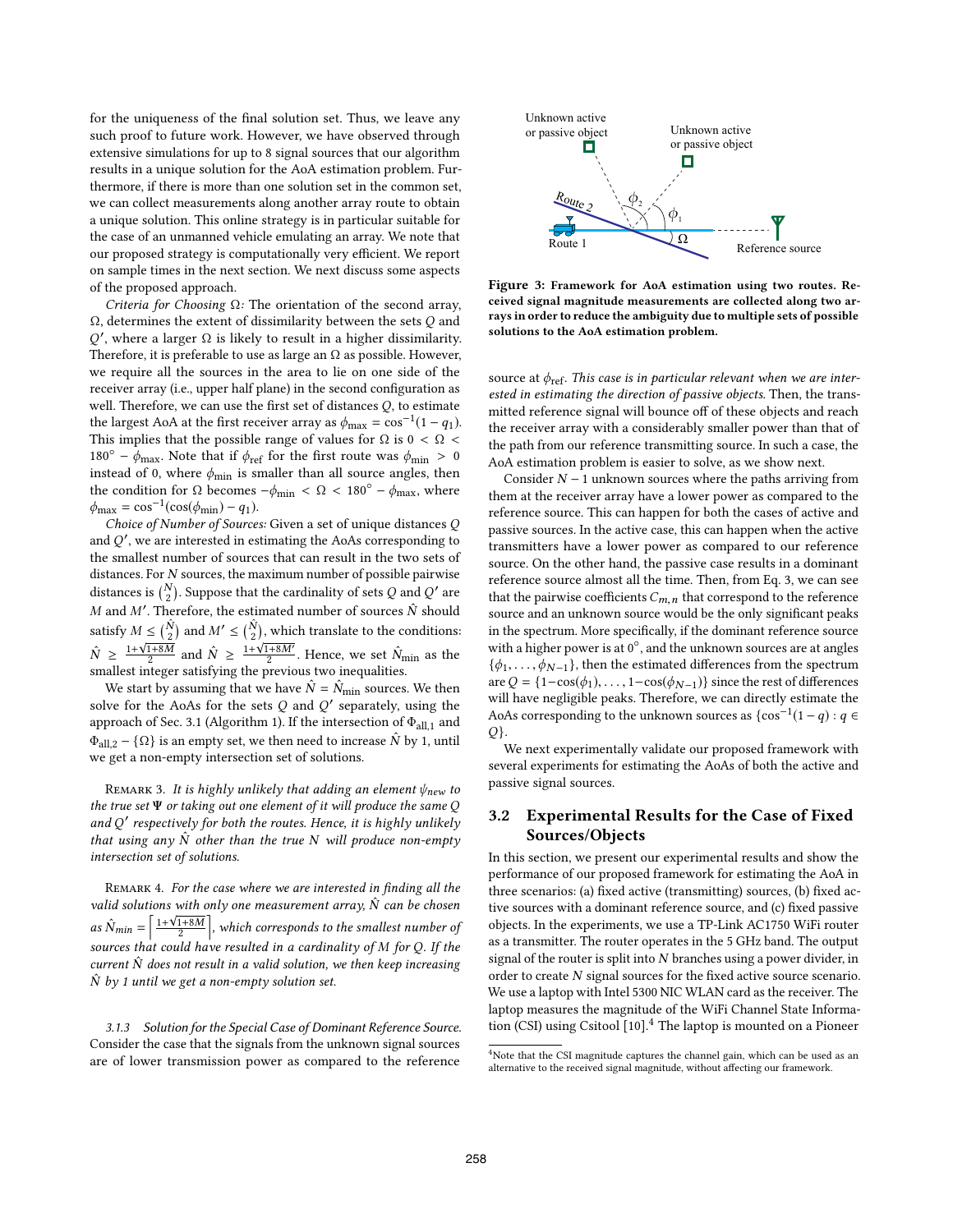for the uniqueness of the final solution set. Thus, we leave any such proof to future work. However, we have observed through extensive simulations for up to 8 signal sources that our algorithm results in a unique solution for the AoA estimation problem. Furthermore, if there is more than one solution set in the common set, we can collect measurements along another array route to obtain a unique solution. This online strategy is in particular suitable for the case of an unmanned vehicle emulating an array. We note that our proposed strategy is computationally very efficient. We report on sample times in the next section. We next discuss some aspects of the proposed approach.

*Criteria for Choosing* Ω*:* The orientation of the second array, Ω, determines the extent of dissimilarity between the sets Q and  $Q'$ , where a larger Ω is likely to result in a higher dissimilarity. Therefore, it is preferable to use as large an  $\Omega$  as possible. However, we require all the sources in the area to lie on one side of the receiver array (i.e., upper half plane) in the second configuration as well. Therefore, we can use the first set of distances  $Q$ , to estimate the largest AoA at the first receiver array as  $\phi_{\text{max}} = \cos^{-1}(1 - q_1)$ . This implies that the possible range of values for  $\Omega$  is  $0 < \Omega <$ 180<sup>°</sup> –  $\phi_{\text{max}}$ . Note that if  $\phi_{\text{ref}}$  for the first route was  $\phi_{\text{min}} > 0$ instead of 0, where  $\phi_{\text{min}}$  is smaller than all source angles, then the condition for Ω becomes  $-\phi_{\text{min}} < \Omega < 180^\circ - \phi_{\text{max}}$ , where  $\phi_{\text{max}} = \cos^{-1}(\cos(\phi_{\text{min}}) - q_1).$ 

*Choice of Number of Sources:* Given a set of unique distances Q and  $Q'$ , we are interested in estimating the AoAs corresponding to the smallest number of sources that can result in the two sets of distances. For N sources, the maximum number of possible pairwise distances is  $\binom{N}{2}$ . Suppose that the cardinality of sets Q and Q' are  $M$  and  $M'.$  Therefore, the estimated number of sources  $\hat{N}$  should satisfy  $M \leq {(\hat{N}) \choose 2}$  and  $M' \leq {(\hat{N}) \choose 2}$ , which translate to the conditions:  $\hat{N} \geq \frac{1+\sqrt{1+8M}}{2}$  and  $\hat{N} \geq \frac{1+\sqrt{1+8M'}}{2}$ . Hence, we set  $\hat{N}_{\text{min}}$  as the smallest integer satisfying the previous two inequalities.

We start by assuming that we have  $\hat{N} = \hat{N}_{\text{min}}$  sources. We then solve for the AoAs for the sets  $Q$  and  $Q'$  separately, using the approach of Sec. 3.1 (Algorithm 1). If the intersection of  $\Phi_{\text{all},1}$  and  $\Phi_{\text{all},2}$  –  $\{\Omega\}$  is an empty set, we then need to increase  $\hat{N}$  by 1, until we get a non-empty intersection set of solutions.

Remark 3. *It is highly unlikely that adding an element* ψ*new to the true set* **Ψ** *or taking out one element of it will produce the same* Q and Q' respectively for both the routes. Hence, it is highly unlikely *that using any* Nˆ *other than the true* N *will produce non-empty intersection set of solutions.*

Remark 4. *For the case where we are interested in finding all the valid solutions with only one measurement array,*  $\hat{N}$  *can be chosen as*  $\hat{N}_{min} = \left\lceil \frac{1 + \sqrt{1 + 8M}}{2} \right\rceil$ , which corresponds to the smallest number of *sources that could have resulted in a cardinality of* M *for* Q*. If the current*  $\hat{N}$  *does not result in a valid solution, we then keep increasing*  $\hat{N}$  by 1 until we get a non-empty solution set.

*3.1.3 Solution for the Special Case of Dominant Reference Source.* Consider the case that the signals from the unknown signal sources are of lower transmission power as compared to the reference



**Figure 3: Framework for AoA estimation using two routes. Received signal magnitude measurements are collected along two arrays in order to reduce the ambiguity due to multiple sets of possible solutions to the AoA estimation problem.**

source at  $\phi_{\text{ref}}$ . *This case is in particular relevant when we are interested in estimating the direction of passive objects.* Then, the transmitted reference signal will bounce off of these objects and reach the receiver array with a considerably smaller power than that of the path from our reference transmitting source. In such a case, the AoA estimation problem is easier to solve, as we show next.

Consider  $N - 1$  unknown sources where the paths arriving from them at the receiver array have a lower power as compared to the reference source. This can happen for both the cases of active and passive sources. In the active case, this can happen when the active transmitters have a lower power as compared to our reference source. On the other hand, the passive case results in a dominant reference source almost all the time. Then, from Eq. 3, we can see that the pairwise coefficients  $C_{m,n}$  that correspond to the reference source and an unknown source would be the only significant peaks in the spectrum. More specifically, if the dominant reference source with a higher power is at  $0^\circ$ , and the unknown sources are at angles  ${\phi_1, \ldots, \phi_{N-1}}$ , then the estimated differences from the spectrum are  $Q = \{1-\cos(\phi_1), \ldots, 1-\cos(\phi_{N-1})\}$  since the rest of differences will have negligible peaks. Therefore, we can directly estimate the AoAs corresponding to the unknown sources as  $\{\cos^{-1}(1-q) : q \in \mathbb{R}\}$  $Q$ .

We next experimentally validate our proposed framework with several experiments for estimating the AoAs of both the active and passive signal sources.

# **3.2 Experimental Results for the Case of Fixed Sources/Objects**

In this section, we present our experimental results and show the performance of our proposed framework for estimating the AoA in three scenarios: (a) fixed active (transmitting) sources, (b) fixed active sources with a dominant reference source, and (c) fixed passive objects. In the experiments, we use a TP-Link AC1750 WiFi router as a transmitter. The router operates in the 5 GHz band. The output signal of the router is split into  $N$  branches using a power divider, in order to create N signal sources for the fixed active source scenario. We use a laptop with Intel 5300 NIC WLAN card as the receiver. The laptop measures the magnitude of the WiFi Channel State Information (CSI) using Csitool  $[10]$ .<sup>4</sup> The laptop is mounted on a Pioneer

 $4$ Note that the CSI magnitude captures the channel gain, which can be used as an alternative to the received signal magnitude, without affecting our framework.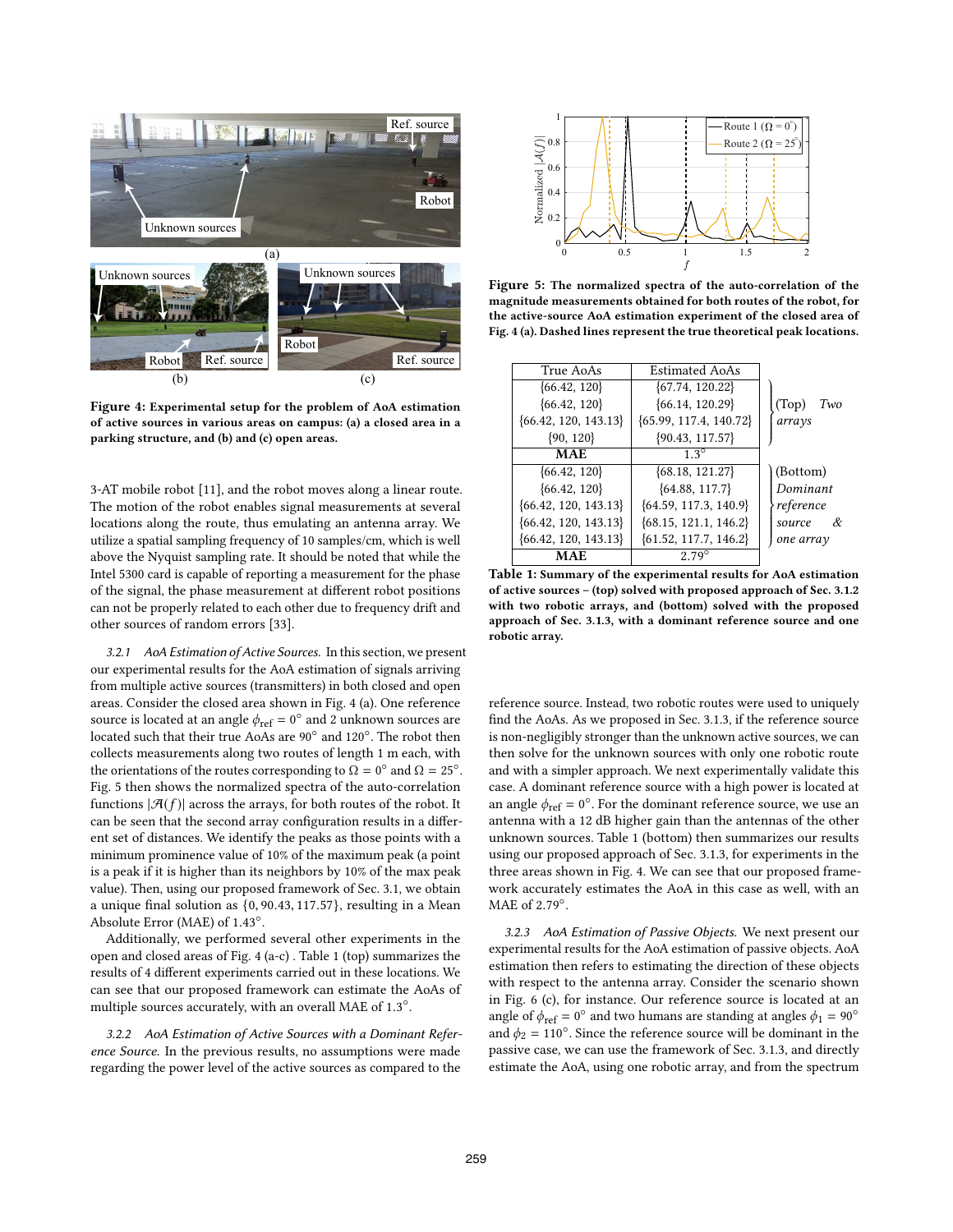

**Figure 4: Experimental setup for the problem of AoA estimation of active sources in various areas on campus: (a) a closed area in a parking structure, and (b) and (c) open areas.**

3-AT mobile robot [11], and the robot moves along a linear route. The motion of the robot enables signal measurements at several locations along the route, thus emulating an antenna array. We utilize a spatial sampling frequency of 10 samples/cm, which is well above the Nyquist sampling rate. It should be noted that while the Intel 5300 card is capable of reporting a measurement for the phase of the signal, the phase measurement at different robot positions can not be properly related to each other due to frequency drift and other sources of random errors [33].

*3.2.1 AoA Estimation of Active Sources.* In this section, we present our experimental results for the AoA estimation of signals arriving from multiple active sources (transmitters) in both closed and open areas. Consider the closed area shown in Fig. 4 (a). One reference source is located at an angle  $\phi_{ref} = 0^\circ$  and 2 unknown sources are located such that their true AoAs are 90◦ and 120◦. The robot then collects measurements along two routes of length 1 m each, with the orientations of the routes corresponding to  $\Omega = 0^\circ$  and  $\Omega = 25^\circ$ . Fig. 5 then shows the normalized spectra of the auto-correlation functions  $|\mathcal{A}(f)|$  across the arrays, for both routes of the robot. It can be seen that the second array configuration results in a different set of distances. We identify the peaks as those points with a minimum prominence value of 10% of the maximum peak (a point is a peak if it is higher than its neighbors by 10% of the max peak value). Then, using our proposed framework of Sec. 3.1, we obtain a unique final solution as {0, 90.43, 117.57}, resulting in a Mean Absolute Error (MAE) of 1.43◦.

Additionally, we performed several other experiments in the open and closed areas of Fig. 4 (a-c) . Table 1 (top) summarizes the results of 4 different experiments carried out in these locations. We can see that our proposed framework can estimate the AoAs of multiple sources accurately, with an overall MAE of 1.3◦.

*3.2.2 AoA Estimation of Active Sources with a Dominant Reference Source.* In the previous results, no assumptions were made regarding the power level of the active sources as compared to the



**Figure 5: The normalized spectra of the auto-correlation of the magnitude measurements obtained for both routes of the robot, for the active-source AoA estimation experiment of the closed area of Fig. 4 (a). Dashed lines represent the true theoretical peak locations.**

| True AoAs                | <b>Estimated AoAs</b>     |                         |
|--------------------------|---------------------------|-------------------------|
| $\{66.42, 120\}$         | ${67.74, 120.22}$         |                         |
| ${66.42, 120}$           | ${66.14, 120.29}$         | (Top)<br>Two            |
| $\{66.42, 120, 143.13\}$ | ${65.99, 117.4, 140.72}$  | arrays                  |
| $\{90, 120\}$            | ${90.43, 117.57}$         |                         |
| <b>MAE</b>               | $1.3^\circ$               |                         |
| $\{66.42, 120\}$         | ${68.18, 121.27}$         | (Bottom)                |
| ${66.42, 120}$           | ${64.88, 117.7}$          | Dominant                |
| ${66.42, 120, 143.13}$   | ${64.59, 117.3, 140.9}$   | reference               |
| $\{66.42, 120, 143.13\}$ | ${68.15, 121.1, 146.2}$   | $\mathcal{R}$<br>source |
| $\{66.42, 120, 143.13\}$ | $\{61.52, 117.7, 146.2\}$ | one array               |
| MAE.                     | $2.79^{\circ}$            |                         |

**Table 1: Summary of the experimental results for AoA estimation of active sources – (top) solved with proposed approach of Sec. 3.1.2 with two robotic arrays, and (bottom) solved with the proposed approach of Sec. 3.1.3, with a dominant reference source and one robotic array.**

reference source. Instead, two robotic routes were used to uniquely find the AoAs. As we proposed in Sec. 3.1.3, if the reference source is non-negligibly stronger than the unknown active sources, we can then solve for the unknown sources with only one robotic route and with a simpler approach. We next experimentally validate this case. A dominant reference source with a high power is located at an angle  $\phi_{\text{ref}} = 0^{\circ}$ . For the dominant reference source, we use an antenna with a 12 dB higher gain than the antennas of the other unknown sources. Table 1 (bottom) then summarizes our results using our proposed approach of Sec. 3.1.3, for experiments in the three areas shown in Fig. 4. We can see that our proposed framework accurately estimates the AoA in this case as well, with an MAE of 2.79◦.

*3.2.3 AoA Estimation of Passive Objects.* We next present our experimental results for the AoA estimation of passive objects. AoA estimation then refers to estimating the direction of these objects with respect to the antenna array. Consider the scenario shown in Fig. 6 (c), for instance. Our reference source is located at an angle of  $\phi_{ref} = 0^{\circ}$  and two humans are standing at angles  $\phi_1 = 90^{\circ}$ and  $\phi_2 = 110^\circ$ . Since the reference source will be dominant in the passive case, we can use the framework of Sec. 3.1.3, and directly estimate the AoA, using one robotic array, and from the spectrum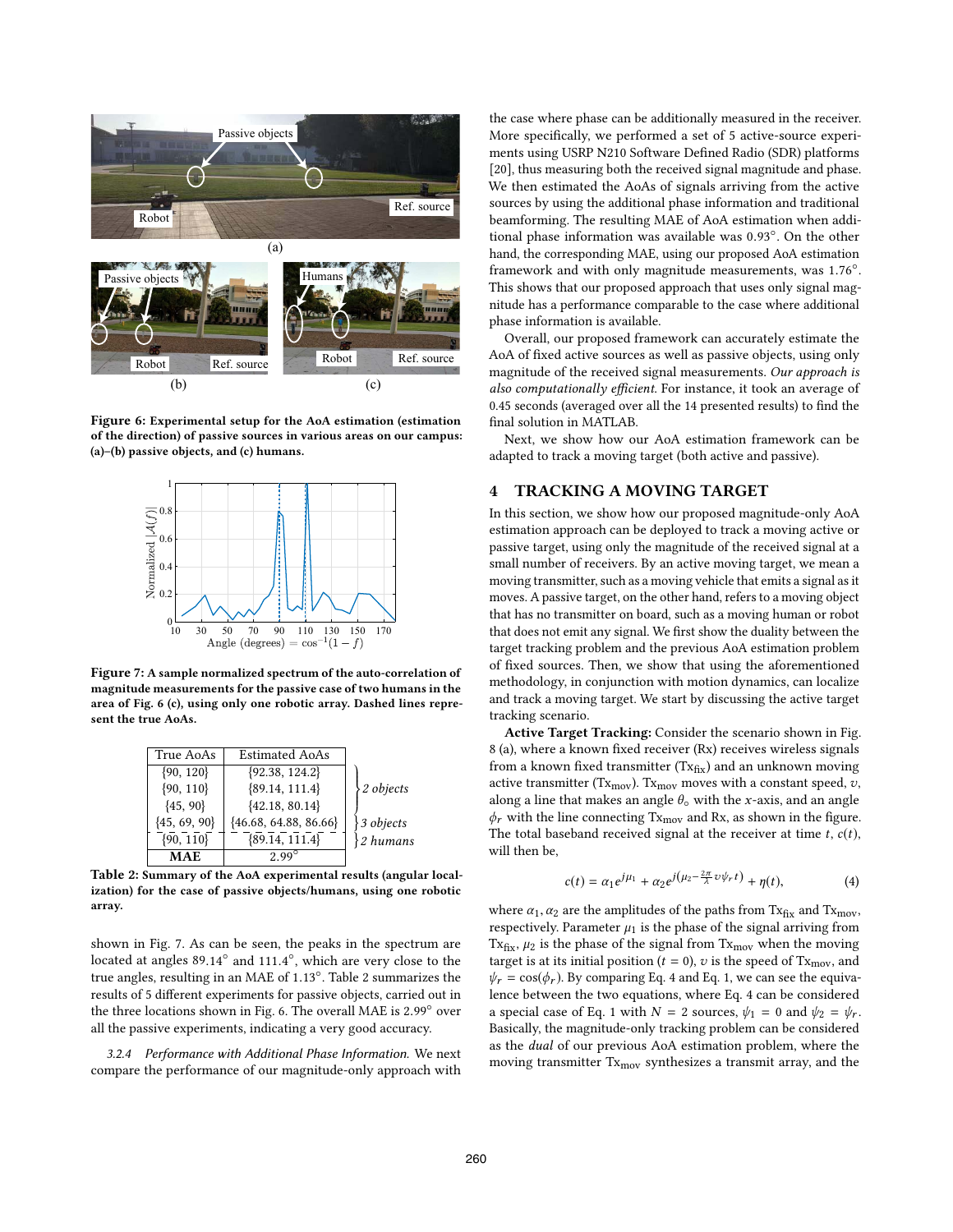

**Figure 6: Experimental setup for the AoA estimation (estimation of the direction) of passive sources in various areas on our campus: (a)–(b) passive objects, and (c) humans.**



**Figure 7: A sample normalized spectrum of the auto-correlation of magnitude measurements for the passive case of two humans in the area of Fig. 6 (c), using only one robotic array. Dashed lines represent the true AoAs.**

| True AoAs      | <b>Estimated AoAs</b>   |                         |
|----------------|-------------------------|-------------------------|
| ${90, 120}$    | ${92.38, 124.2}$        |                         |
| ${90, 110}$    | ${89.14, 111.4}$        | $\{2 \text{ objects}\}$ |
| ${45, 90}$     | ${42.18, 80.14}$        |                         |
| ${45, 69, 90}$ | ${46.68, 64.88, 86.66}$ | $\{3 \text{ objects}\}$ |
| $\{90, 110\}$  | ${89.14, 111.4}$        | $2$ humans              |
| <b>MAE</b>     | $2.99^{\circ}$          |                         |

**Table 2: Summary of the AoA experimental results (angular localization) for the case of passive objects/humans, using one robotic array.**

shown in Fig. 7. As can be seen, the peaks in the spectrum are located at angles 89.14◦ and 111.4◦, which are very close to the true angles, resulting in an MAE of 1.13◦. Table 2 summarizes the results of 5 different experiments for passive objects, carried out in the three locations shown in Fig. 6. The overall MAE is 2.99◦ over all the passive experiments, indicating a very good accuracy.

*3.2.4 Performance with Additional Phase Information.* We next compare the performance of our magnitude-only approach with the case where phase can be additionally measured in the receiver. More specifically, we performed a set of 5 active-source experiments using USRP N210 Software Defined Radio (SDR) platforms [20], thus measuring both the received signal magnitude and phase. We then estimated the AoAs of signals arriving from the active sources by using the additional phase information and traditional beamforming. The resulting MAE of AoA estimation when additional phase information was available was 0.93◦. On the other hand, the corresponding MAE, using our proposed AoA estimation framework and with only magnitude measurements, was 1.76◦. This shows that our proposed approach that uses only signal magnitude has a performance comparable to the case where additional phase information is available.

Overall, our proposed framework can accurately estimate the AoA of fixed active sources as well as passive objects, using only magnitude of the received signal measurements. *Our approach is also computationally efficient*. For instance, it took an average of 0.45 seconds (averaged over all the 14 presented results) to find the final solution in MATLAB.

Next, we show how our AoA estimation framework can be adapted to track a moving target (both active and passive).

#### **4 TRACKING A MOVING TARGET**

In this section, we show how our proposed magnitude-only AoA estimation approach can be deployed to track a moving active or passive target, using only the magnitude of the received signal at a small number of receivers. By an active moving target, we mean a moving transmitter, such as a moving vehicle that emits a signal as it moves. A passive target, on the other hand, refers to a moving object that has no transmitter on board, such as a moving human or robot that does not emit any signal. We first show the duality between the target tracking problem and the previous AoA estimation problem of fixed sources. Then, we show that using the aforementioned methodology, in conjunction with motion dynamics, can localize and track a moving target. We start by discussing the active target tracking scenario.

**Active Target Tracking:** Consider the scenario shown in Fig. 8 (a), where a known fixed receiver (Rx) receives wireless signals from a known fixed transmitter  $(Tx_{fix})$  and an unknown moving active transmitter (Tx<sub>mov</sub>). Tx<sub>mov</sub> moves with a constant speed,  $v$ , along a line that makes an angle  $\theta_{\rm o}$  with the x-axis, and an angle  $\phi_r$  with the line connecting Tx<sub>mov</sub> and Rx, as shown in the figure. The total baseband received signal at the receiver at time  $t$ ,  $c(t)$ , will then be,

$$
c(t) = \alpha_1 e^{j\mu_1} + \alpha_2 e^{j(\mu_2 - \frac{2\pi}{\lambda} \upsilon \psi_r t)} + \eta(t), \tag{4}
$$

where  $\alpha_1, \alpha_2$  are the amplitudes of the paths from Tx<sub>fix</sub> and Tx<sub>mov</sub>, respectively. Parameter  $\mu_1$  is the phase of the signal arriving from  $Tx_{fix}, \mu_2$  is the phase of the signal from  $Tx_{mov}$  when the moving target is at its initial position ( $t = 0$ ),  $v$  is the speed of Tx<sub>mov</sub>, and  $\psi_r = \cos(\phi_r)$ . By comparing Eq. 4 and Eq. 1, we can see the equivalence between the two equations, where Eq. 4 can be considered a special case of Eq. 1 with  $N = 2$  sources,  $\psi_1 = 0$  and  $\psi_2 = \psi_r$ . Basically, the magnitude-only tracking problem can be considered as the *dual* of our previous AoA estimation problem, where the moving transmitter  $Tx_{mov}$  synthesizes a transmit array, and the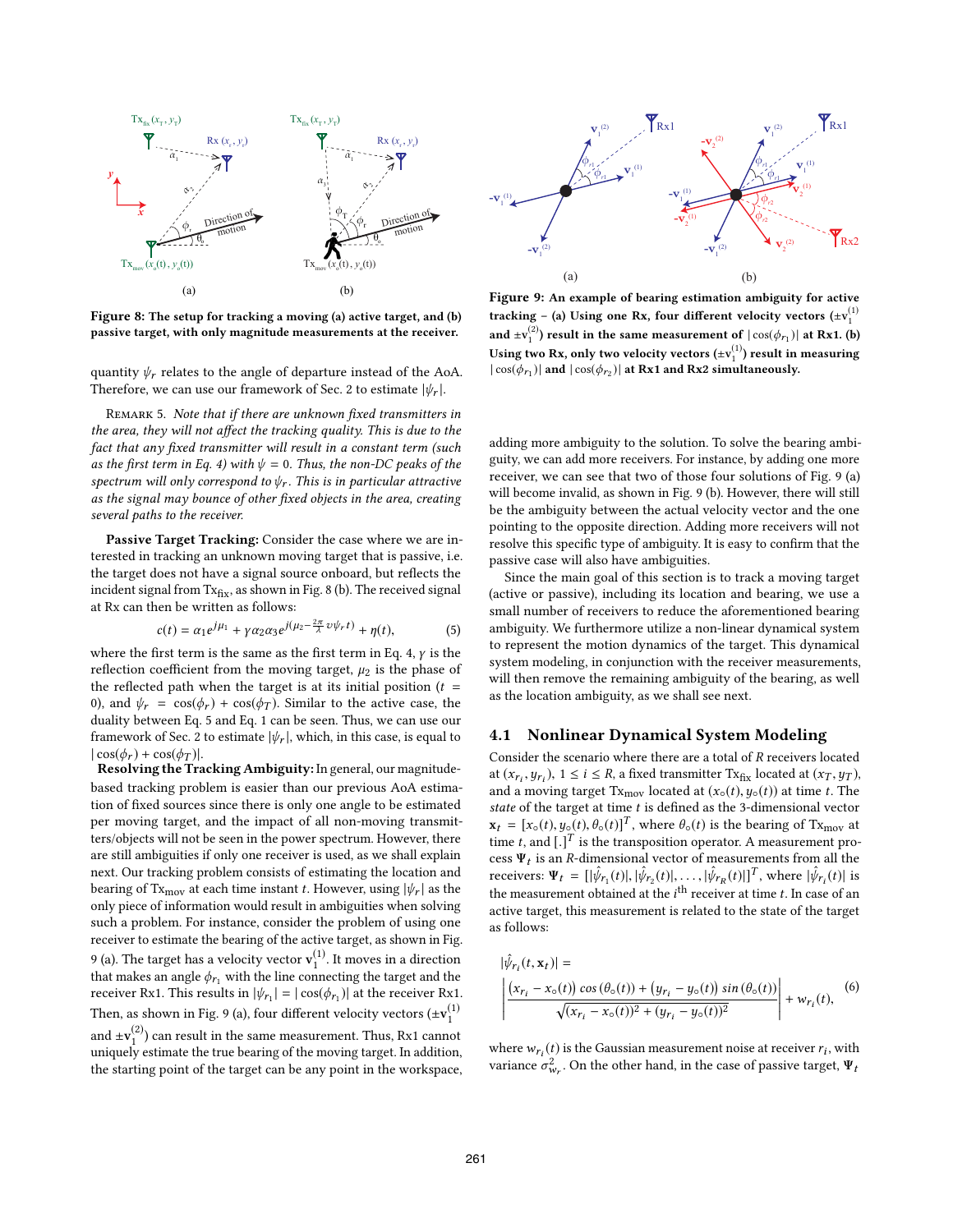

**Figure 8: The setup for tracking a moving (a) active target, and (b) passive target, with only magnitude measurements at the receiver.**

quantity  $\psi_r$  relates to the angle of departure instead of the AoA. Therefore, we can use our framework of Sec. 2 to estimate  $|\psi_r|$ .

Remark 5. *Note that if there are unknown fixed transmitters in the area, they will not affect the tracking quality. This is due to the fact that any fixed transmitter will result in a constant term (such as the first term in Eq. 4) with*  $\psi = 0$ *. Thus, the non-DC peaks of the spectrum will only correspond to*  $\psi_r$ . This is in particular attractive *as the signal may bounce of other fixed objects in the area, creating several paths to the receiver.*

**Passive Target Tracking:** Consider the case where we are interested in tracking an unknown moving target that is passive, i.e. the target does not have a signal source onboard, but reflects the incident signal from  $Tx_{fix}$ , as shown in Fig. 8 (b). The received signal at Rx can then be written as follows:

$$
c(t) = \alpha_1 e^{j\mu_1} + \gamma \alpha_2 \alpha_3 e^{j(\mu_2 - \frac{2\pi}{\lambda} v \psi_r t)} + \eta(t),
$$
 (5)

where the first term is the same as the first term in Eq. 4,  $\gamma$  is the reflection coefficient from the moving target,  $\mu_2$  is the phase of the reflected path when the target is at its initial position  $(t =$ 0), and  $\psi_r = \cos(\phi_r) + \cos(\phi_T)$ . Similar to the active case, the duality between Eq. 5 and Eq. 1 can be seen. Thus, we can use our framework of Sec. 2 to estimate  $|\psi_r|$ , which, in this case, is equal to  $|\cos(\phi_r) + \cos(\phi_T)|$ .

**Resolving the Tracking Ambiguity:** In general, our magnitudebased tracking problem is easier than our previous AoA estimation of fixed sources since there is only one angle to be estimated per moving target, and the impact of all non-moving transmitters/objects will not be seen in the power spectrum. However, there are still ambiguities if only one receiver is used, as we shall explain next. Our tracking problem consists of estimating the location and bearing of Tx<sub>mov</sub> at each time instant t. However, using  $|\psi_r|$  as the only piece of information would result in ambiguities when solving such a problem. For instance, consider the problem of using one receiver to estimate the bearing of the active target, as shown in Fig. 9 (a). The target has a velocity vector  $\mathbf{v}_1^{(1)}$ . It moves in a direction that makes an angle  $\phi_{r_1}$  with the line connecting the target and the receiver Rx1. This results in  $|\psi_{r_1}| = |\cos(\phi_{r_1})|$  at the receiver Rx1. Then, as shown in Fig. 9 (a), four different velocity vectors  $(\pm \mathbf{v}_1^{(1)}$ and  $\pm \mathbf{v}_1^{(2)}$ ) can result in the same measurement. Thus, Rx1 cannot uniquely estimate the true bearing of the moving target. In addition, the starting point of the target can be any point in the workspace,



**Figure 9: An example of bearing estimation ambiguity for active** tracking – (a) Using one Rx, four different velocity vectors  $(\pm \mathbf{v}_1^{(1)}$ and  $\pm \mathbf{v}_1^{(2)}$ ) result in the same measurement of  $|\cos(\phi_{r_1})|$  at Rx1. (b) Using two Rx, only two velocity vectors  $(\pm \mathbf{v}_1^{(1)})$  result in measuring  $|\cos(\phi_{r_1})|$  and  $|\cos(\phi_{r_2})|$  at Rx1 and Rx2 simultaneously.

adding more ambiguity to the solution. To solve the bearing ambiguity, we can add more receivers. For instance, by adding one more receiver, we can see that two of those four solutions of Fig. 9 (a) will become invalid, as shown in Fig. 9 (b). However, there will still be the ambiguity between the actual velocity vector and the one pointing to the opposite direction. Adding more receivers will not resolve this specific type of ambiguity. It is easy to confirm that the passive case will also have ambiguities.

Since the main goal of this section is to track a moving target (active or passive), including its location and bearing, we use a small number of receivers to reduce the aforementioned bearing ambiguity. We furthermore utilize a non-linear dynamical system to represent the motion dynamics of the target. This dynamical system modeling, in conjunction with the receiver measurements, will then remove the remaining ambiguity of the bearing, as well as the location ambiguity, as we shall see next.

# **4.1 Nonlinear Dynamical System Modeling**

Consider the scenario where there are a total of R receivers located at  $(x_{r_i}, y_{r_i})$ ,  $1 \le i \le R$ , a fixed transmitter Tx<sub>fix</sub> located at  $(x_T, y_T)$ , and a moving target  $Tx_{\text{mov}}$  located at  $(x_0(t), y_0(t))$  at time t. The *state* of the target at time t is defined as the 3-dimensional vector  $\mathbf{x}_t = [x_\text{o}(t), y_\text{o}(t), \theta_\text{o}(t)]^T$ , where  $\theta_\text{o}(t)$  is the bearing of Tx<sub>mov</sub> at time t, and  $[.]^T$  is the transposition operator. A measurement process  $\Psi_t$  is an  $R\text{-dimensional vector}$  of measurements from all the receivers:  $\Psi_t = [|\hat{\psi}_{r_1}(t)|, |\hat{\psi}_{r_2}(t)|, ..., |\hat{\psi}_{r_R}(t)|]^T$ , where  $|\hat{\psi}_{r_i}(t)|$  is the measurement obtained at the  $i^{\text{th}}$  receiver at time  $t$ . In case of an active target, this measurement is related to the state of the target as follows:

$$
\left| \frac{\hat{\psi}_{r_i}(t, \mathbf{x}_t) \right|}{\sqrt{(x_{r_i} - x_\circ(t)) \cos (\theta_\circ(t)) + (y_{r_i} - y_\circ(t)) \sin (\theta_\circ(t))}} \right| + w_{r_i}(t),
$$
 (6)

where  $w_{r_i}(t)$  is the Gaussian measurement noise at receiver  $r_i$ , with variance  $\sigma^2_{\bm{w}_r}$ . On the other hand, in the case of passive target,  $\Psi_t$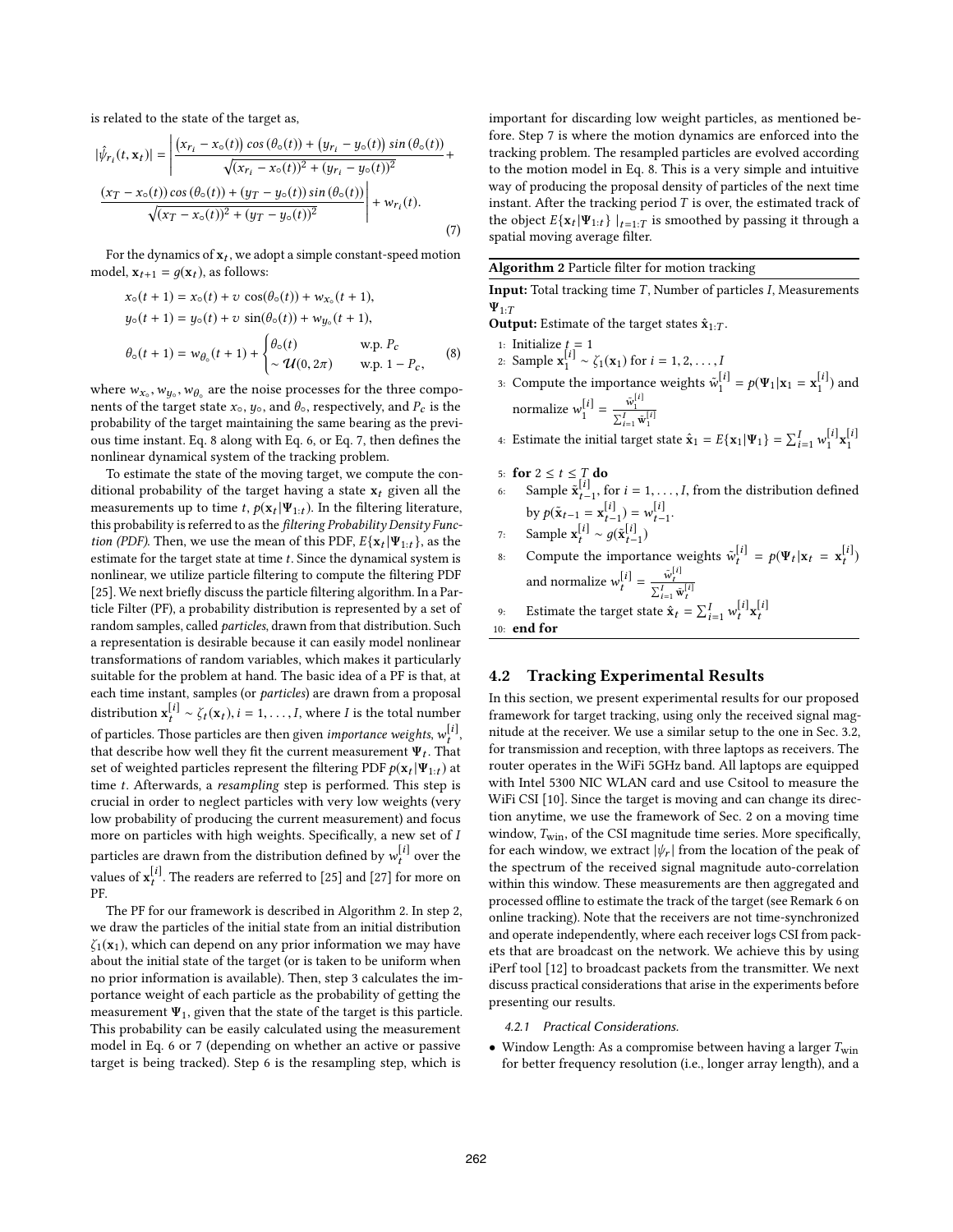is related to the state of the target as,

$$
|\hat{\psi}_{r_i}(t, \mathbf{x}_t)| = \left| \frac{(x_{r_i} - x_o(t)) \cos(\theta_o(t)) + (y_{r_i} - y_o(t)) \sin(\theta_o(t))}{\sqrt{(x_{r_i} - x_o(t))^2 + (y_{r_i} - y_o(t))^2}} + \frac{(x_T - x_o(t)) \cos(\theta_o(t)) + (y_T - y_o(t)) \sin(\theta_o(t))}{\sqrt{(x_T - x_o(t))^2 + (y_T - y_o(t))^2}} \right| + w_{r_i}(t).
$$
\n(7)

For the dynamics of  $x_t$ , we adopt a simple constant-speed motion model,  $\mathbf{x}_{t+1} = g(\mathbf{x}_t)$ , as follows:

$$
x_o(t + 1) = x_o(t) + v \cos(\theta_o(t)) + w_{x_o}(t + 1),
$$
  
\n
$$
y_o(t + 1) = y_o(t) + v \sin(\theta_o(t)) + w_{y_o}(t + 1),
$$
  
\n
$$
\theta_o(t + 1) = w_{\theta_o}(t + 1) + \begin{cases} \theta_o(t) & \text{w.p. } P_c \\ \sim \mathcal{U}(0, 2\pi) & \text{w.p. } 1 - P_c, \end{cases}
$$
\n(8)

where  $w_{x_0}, w_{y_0}, w_{\theta_0}$  are the noise processes for the three components of the target state  $x<sub>o</sub>, y<sub>o</sub>$ , and  $\theta<sub>o</sub>$ , respectively, and  $P<sub>c</sub>$  is the probability of the target maintaining the same bearing as the previous time instant. Eq. 8 along with Eq. 6, or Eq. 7, then defines the nonlinear dynamical system of the tracking problem.

To estimate the state of the moving target, we compute the conditional probability of the target having a state  $x_t$  given all the measurements up to time t,  $p(\mathbf{x}_t | \Psi_{1:t})$ . In the filtering literature, this probability is referred to as the *filtering Probability Density Function (PDF)*. Then, we use the mean of this PDF,  $E\{\mathbf{x}_t | \Psi_{1:t}\}$ , as the estimate for the target state at time  $t$ . Since the dynamical system is nonlinear, we utilize particle filtering to compute the filtering PDF [25]. We next briefly discuss the particle filtering algorithm. In a Particle Filter (PF), a probability distribution is represented by a set of random samples, called *particles*, drawn from that distribution. Such a representation is desirable because it can easily model nonlinear transformations of random variables, which makes it particularly suitable for the problem at hand. The basic idea of a PF is that, at each time instant, samples (or *particles*) are drawn from a proposal distribution  $\mathbf{x}_t^{[i]} \sim \zeta_t(\mathbf{x}_t)$ ,  $i = 1, \ldots, I$ , where *I* is the total number of particles. Those particles are then given *importance weights*,  $w_t^{[i]}$ , that describe how well they fit the current measurement  $\Psi_t$ . That set of weighted particles represent the filtering PDF  $p(\mathbf{x}_t | \Psi_{1:t})$  at time t. Afterwards, a *resampling* step is performed. This step is crucial in order to neglect particles with very low weights (very low probability of producing the current measurement) and focus more on particles with high weights. Specifically, a new set of I particles are drawn from the distribution defined by  $w_t^{[i]}$  over the values of  $\mathbf{x}_t^{[i]}$ . The readers are referred to [25] and [27] for more on PF.

The PF for our framework is described in Algorithm 2. In step 2, we draw the particles of the initial state from an initial distribution  $\zeta_1(\mathbf{x}_1)$ , which can depend on any prior information we may have about the initial state of the target (or is taken to be uniform when no prior information is available). Then, step 3 calculates the importance weight of each particle as the probability of getting the measurement  $\Psi_1$ , given that the state of the target is this particle. This probability can be easily calculated using the measurement model in Eq. 6 or 7 (depending on whether an active or passive target is being tracked). Step 6 is the resampling step, which is

important for discarding low weight particles, as mentioned before. Step 7 is where the motion dynamics are enforced into the tracking problem. The resampled particles are evolved according to the motion model in Eq. 8. This is a very simple and intuitive way of producing the proposal density of particles of the next time instant. After the tracking period  $T$  is over, the estimated track of the object  $E\{\mathbf{x}_t | \Psi_{1:t}\}\big|_{t=1:T}$  is smoothed by passing it through a spatial moving average filter.

**Algorithm 2** Particle filter for motion tracking

**Input:** Total tracking time T, Number of particles I, Measurements **Ψ**1:<sup>T</sup>

**Output:** Estimate of the target states  $\hat{\mathbf{x}}_{1:T}$ .

- 
- 1: Initialize  $t = 1$ <br>2: Sample  $\mathbf{x}_1^{[i]} \sim \zeta_1(\mathbf{x}_1)$  for  $i = 1, 2, ...,$
- 3: Compute the importance weights  $\tilde{w}_1^{[i]} = p(\Psi_1 | \mathbf{x}_1 = \mathbf{x}_1^{[i]})$  and normalize  $w_1^{[i]} = \frac{\tilde{w}_1^{[i]}}{\sum_{i=1}^{I} \tilde{w}_1^{[i]}}$
- 4: Estimate the initial target state  $\hat{\mathbf{x}}_1 = E\{\mathbf{x}_1 | \Psi_1\} = \sum_{i=1}^I w_1^{[i]} \mathbf{x}_1^{[i]}$
- 5: **for**  $2 \le t \le T$  **do**
- 6:  $\sum_i \sum_{i=1}^{i} f_i$  for  $i = 1, ..., I$ , from the distribution defined by  $p(\tilde{\mathbf{x}}_{t-1} = \mathbf{x}_{t-1}^{[i]}) = w_{t-1}^{[i]}$ .

$$
\text{Example } \mathbf{x}_t^{[i]} \sim g(\tilde{\mathbf{x}}_{t-1}^{[i]})
$$

8: Compute the importance weights  $\tilde{w}_t^{[i]} = p(\Psi_t | \mathbf{x}_t = \mathbf{x}_t^{[i]})$ and normalize  $w_t^{[i]} = \frac{\tilde{w}_t^{[i]}}{\sum_{i=1}^{I} \tilde{w}_t^{[i]}}$ 

9: Estimate the target state  $\hat{\mathbf{x}}_t = \sum_{i=1}^I w_t^{[i]} \mathbf{x}_t^{[i]}$ 

## 10: **end for**

# **4.2 Tracking Experimental Results**

In this section, we present experimental results for our proposed framework for target tracking, using only the received signal magnitude at the receiver. We use a similar setup to the one in Sec. 3.2, for transmission and reception, with three laptops as receivers. The router operates in the WiFi 5GHz band. All laptops are equipped with Intel 5300 NIC WLAN card and use Csitool to measure the WiFi CSI [10]. Since the target is moving and can change its direction anytime, we use the framework of Sec. 2 on a moving time window,  $T_{\text{win}}$ , of the CSI magnitude time series. More specifically, for each window, we extract  $|\psi_r|$  from the location of the peak of the spectrum of the received signal magnitude auto-correlation within this window. These measurements are then aggregated and processed offline to estimate the track of the target (see Remark 6 on online tracking). Note that the receivers are not time-synchronized and operate independently, where each receiver logs CSI from packets that are broadcast on the network. We achieve this by using iPerf tool [12] to broadcast packets from the transmitter. We next discuss practical considerations that arise in the experiments before presenting our results.

*4.2.1 Practical Considerations.*

 $\bullet$  Window Length: As a compromise between having a larger  $T_{\rm win}$ for better frequency resolution (i.e., longer array length), and a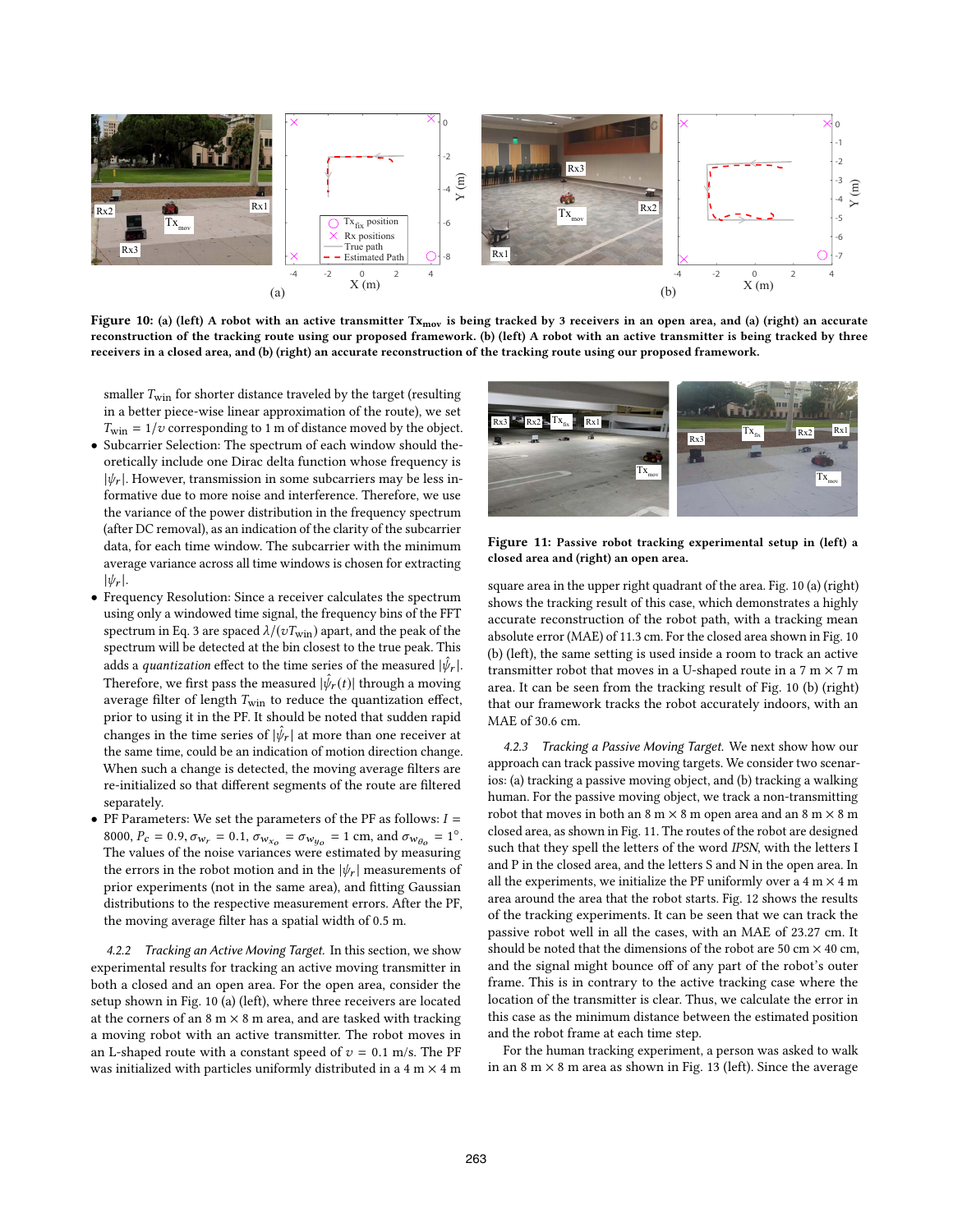

Figure 10: (a) (left) A robot with an active transmitter Tx<sub>mov</sub> is being tracked by 3 receivers in an open area, and (a) (right) an accurate **reconstruction of the tracking route using our proposed framework. (b) (left) A robot with an active transmitter is being tracked by three receivers in a closed area, and (b) (right) an accurate reconstruction of the tracking route using our proposed framework.**

smaller  $T_{\text{win}}$  for shorter distance traveled by the target (resulting in a better piece-wise linear approximation of the route), we set  $T_{\text{win}} = 1/v$  corresponding to 1 m of distance moved by the object.

- Subcarrier Selection: The spectrum of each window should theoretically include one Dirac delta function whose frequency is  $|\psi_r|$ . However, transmission in some subcarriers may be less informative due to more noise and interference. Therefore, we use the variance of the power distribution in the frequency spectrum (after DC removal), as an indication of the clarity of the subcarrier data, for each time window. The subcarrier with the minimum average variance across all time windows is chosen for extracting  $|\psi_r|$ .
- Frequency Resolution: Since a receiver calculates the spectrum using only a windowed time signal, the frequency bins of the FFT spectrum in Eq. 3 are spaced  $\lambda/(vT_{\rm win})$  apart, and the peak of the spectrum will be detected at the bin closest to the true peak. This adds a *quantization* effect to the time series of the measured  $|\hat{\psi_r}|$ . Therefore, we first pass the measured  $|\hat{\psi}_{r}(t)|$  through a moving average filter of length  $T_{\text{win}}$  to reduce the quantization effect, prior to using it in the PF. It should be noted that sudden rapid changes in the time series of  $|\hat{\psi}_{r}|$  at more than one receiver at the same time, could be an indication of motion direction change. When such a change is detected, the moving average filters are re-initialized so that different segments of the route are filtered separately.
- PF Parameters: We set the parameters of the PF as follows:  $I =$ 8000,  $P_c = 0.9$ ,  $\sigma_{w_r} = 0.1$ ,  $\sigma_{w_{x_o}} = \sigma_{w_{y_o}} = 1$  cm, and  $\sigma_{w_{\theta_o}} = 1^{\circ}$ . The values of the noise variances were estimated by measuring the errors in the robot motion and in the  $|\psi_r|$  measurements of prior experiments (not in the same area), and fitting Gaussian distributions to the respective measurement errors. After the PF, the moving average filter has a spatial width of 0.5 m.

*4.2.2 Tracking an Active Moving Target.* In this section, we show experimental results for tracking an active moving transmitter in both a closed and an open area. For the open area, consider the setup shown in Fig. 10 (a) (left), where three receivers are located at the corners of an  $8 \text{ m} \times 8 \text{ m}$  area, and are tasked with tracking a moving robot with an active transmitter. The robot moves in an L-shaped route with a constant speed of  $v = 0.1$  m/s. The PF was initialized with particles uniformly distributed in a 4 m  $\times$  4 m



**Figure 11: Passive robot tracking experimental setup in (left) a closed area and (right) an open area.**

square area in the upper right quadrant of the area. Fig. 10 (a) (right) shows the tracking result of this case, which demonstrates a highly accurate reconstruction of the robot path, with a tracking mean absolute error (MAE) of 11.3 cm. For the closed area shown in Fig. 10 (b) (left), the same setting is used inside a room to track an active transmitter robot that moves in a U-shaped route in a  $7 \text{ m} \times 7 \text{ m}$ area. It can be seen from the tracking result of Fig. 10 (b) (right) that our framework tracks the robot accurately indoors, with an MAE of 30.6 cm.

*4.2.3 Tracking a Passive Moving Target.* We next show how our approach can track passive moving targets. We consider two scenarios: (a) tracking a passive moving object, and (b) tracking a walking human. For the passive moving object, we track a non-transmitting robot that moves in both an 8 m  $\times$  8 m open area and an 8 m  $\times$  8 m closed area, as shown in Fig. 11. The routes of the robot are designed such that they spell the letters of the word *IPSN*, with the letters I and P in the closed area, and the letters S and N in the open area. In all the experiments, we initialize the PF uniformly over a 4 m  $\times$  4 m area around the area that the robot starts. Fig. 12 shows the results of the tracking experiments. It can be seen that we can track the passive robot well in all the cases, with an MAE of 23.27 cm. It should be noted that the dimensions of the robot are 50 cm  $\times$  40 cm, and the signal might bounce off of any part of the robot's outer frame. This is in contrary to the active tracking case where the location of the transmitter is clear. Thus, we calculate the error in this case as the minimum distance between the estimated position and the robot frame at each time step.

For the human tracking experiment, a person was asked to walk in an 8 m  $\times$  8 m area as shown in Fig. 13 (left). Since the average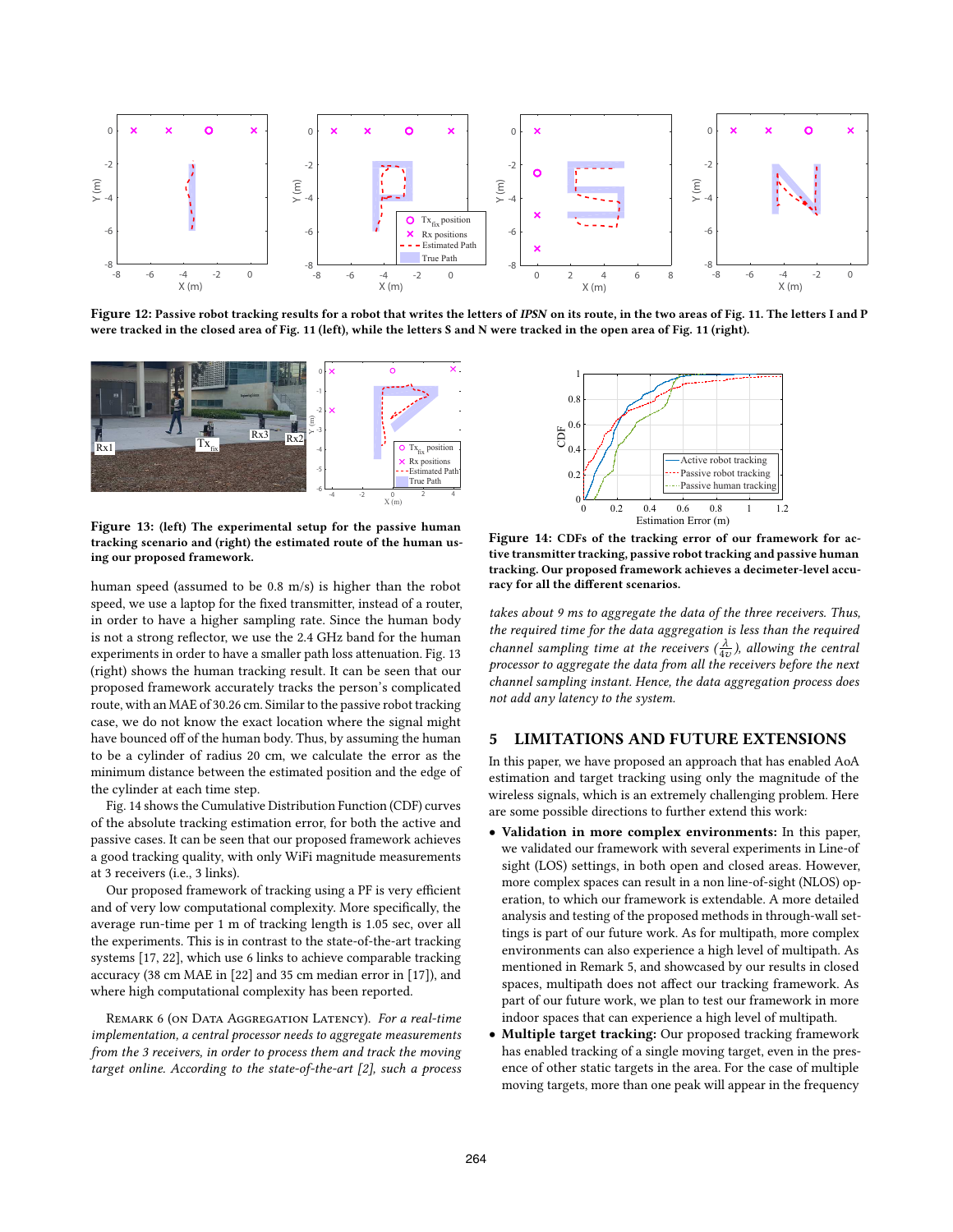

**Figure 12: Passive robot tracking results for a robot that writes the letters of** *IPSN* **on its route, in the two areas of Fig. 11. The letters I and P were tracked in the closed area of Fig. 11 (left), while the letters S and N were tracked in the open area of Fig. 11 (right).**



**Figure 13: (left) The experimental setup for the passive human tracking scenario and (right) the estimated route of the human using our proposed framework.**

human speed (assumed to be 0.8 m/s) is higher than the robot speed, we use a laptop for the fixed transmitter, instead of a router, in order to have a higher sampling rate. Since the human body is not a strong reflector, we use the 2.4 GHz band for the human experiments in order to have a smaller path loss attenuation. Fig. 13 (right) shows the human tracking result. It can be seen that our proposed framework accurately tracks the person's complicated route, with an MAE of 30.26 cm. Similar to the passive robot tracking case, we do not know the exact location where the signal might have bounced off of the human body. Thus, by assuming the human to be a cylinder of radius 20 cm, we calculate the error as the minimum distance between the estimated position and the edge of the cylinder at each time step.

Fig. 14 shows the Cumulative Distribution Function (CDF) curves of the absolute tracking estimation error, for both the active and passive cases. It can be seen that our proposed framework achieves a good tracking quality, with only WiFi magnitude measurements at 3 receivers (i.e., 3 links).

Our proposed framework of tracking using a PF is very efficient and of very low computational complexity. More specifically, the average run-time per 1 m of tracking length is 1.05 sec, over all the experiments. This is in contrast to the state-of-the-art tracking systems [17, 22], which use 6 links to achieve comparable tracking accuracy (38 cm MAE in [22] and 35 cm median error in [17]), and where high computational complexity has been reported.

Remark 6 (on Data Aggregation Latency). *For a real-time implementation, a central processor needs to aggregate measurements from the 3 receivers, in order to process them and track the moving target online. According to the state-of-the-art [2], such a process*



**Figure 14: CDFs of the tracking error of our framework for active transmitter tracking, passive robot tracking and passive human tracking. Our proposed framework achieves a decimeter-level accuracy for all the different scenarios.**

*takes about 9 ms to aggregate the data of the three receivers. Thus, the required time for the data aggregation is less than the required channel sampling time at the receivers*  $(\frac{\lambda}{4v})$ *, allowing the central processor to aggregate the data from all the receivers before the next channel sampling instant. Hence, the data aggregation process does not add any latency to the system.*

## **5 LIMITATIONS AND FUTURE EXTENSIONS**

In this paper, we have proposed an approach that has enabled AoA estimation and target tracking using only the magnitude of the wireless signals, which is an extremely challenging problem. Here are some possible directions to further extend this work:

- **Validation in more complex environments:** In this paper, we validated our framework with several experiments in Line-of sight (LOS) settings, in both open and closed areas. However, more complex spaces can result in a non line-of-sight (NLOS) operation, to which our framework is extendable. A more detailed analysis and testing of the proposed methods in through-wall settings is part of our future work. As for multipath, more complex environments can also experience a high level of multipath. As mentioned in Remark 5, and showcased by our results in closed spaces, multipath does not affect our tracking framework. As part of our future work, we plan to test our framework in more indoor spaces that can experience a high level of multipath.
- **Multiple target tracking:** Our proposed tracking framework has enabled tracking of a single moving target, even in the presence of other static targets in the area. For the case of multiple moving targets, more than one peak will appear in the frequency